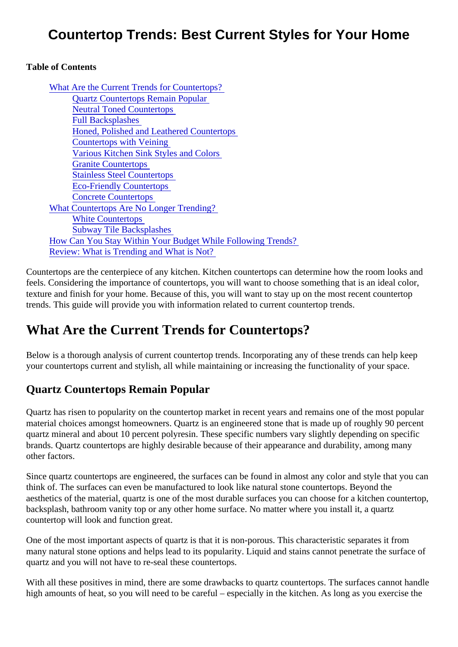# Countertop Trends: Best Current Styles for Your Home

#### Table of Contents

| What Are the Current Trends for Countertops?                |
|-------------------------------------------------------------|
| <b>Quartz Countertops Remain Popular</b>                    |
| <b>Neutral Toned Countertops</b>                            |
| <b>Full Backsplashes</b>                                    |
| <b>Honed, Polished and Leathered Countertops</b>            |
| <b>Countertops with Veining</b>                             |
| <b>Various Kitchen Sink Styles and Colors</b>               |
| <b>Granite Countertops</b>                                  |
| <b>Stainless Steel Countertops</b>                          |
| <b>Eco-Friendly Countertops</b>                             |
| <b>Concrete Countertops</b>                                 |
| <b>What Countertops Are No Longer Trending?</b>             |
| <b>White Countertops</b>                                    |
| <b>Subway Tile Backsplashes</b>                             |
| How Can You Stay Within Your Budget While Following Trends? |
| Review: What is Trending and What is Not?                   |

Countertops are the centerpiece of any kitchen. Kitchen countertops can determine how the room looks and feels. Considering the importance of countertops, you will want to choose something that is an ideal color, texture and finish for your home. Because of this, you will want to stay up on the most recent countertop trends. This guide will provide you with information related to current countertop trends.

# What Are the Current Trends for Countertops?

Below is a thorough analysis of current countertop trends. Incorporating any of these trends can help keep your countertops current and stylish, all while maintaining or increasing the functionality of your space.

#### Quartz Countertops Remain Popular

Quartz has risen to popularity on the countertop market in recent years and remains one of the most popu material choices amongst homeowners. Quartz is an engineered stone that is made up of roughly 90 perc quartz mineral and about 10 percent polyresin. These specific numbers vary slightly depending on specific brands. Quartz countertops are highly desirable because of their appearance and durability, among many other factors.

Since quartz countertops are engineered, the surfaces can be found in almost any color and style that you think of. The surfaces can even be manufactured to look like natural stone countertops. Beyond the aesthetics of the material, quartz is one of the most durable surfaces you can choose for a kitchen counter backsplash, bathroom vanity top or any other home surface. No matter where you install it, a quartz countertop will look and function great.

One of the most important aspects of quartz is that it is non-porous. This characteristic separates it from many natural stone options and helps lead to its popularity. Liquid and stains cannot penetrate the surface quartz and you will not have to re-seal these countertops.

With all these positives in mind, there are some drawbacks to quartz countertops. The surfaces cannot ha high amounts of heat, so you will need to be careful – especially in the kitchen. As long as you exercise the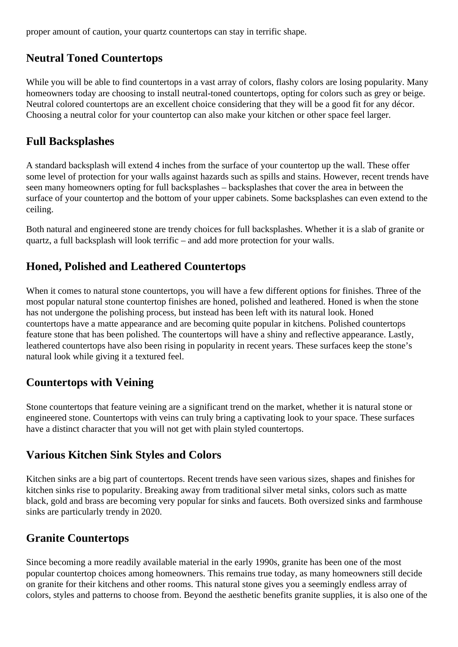<span id="page-1-0"></span>proper amount of caution, your quartz countertops can stay in terrific shape.

#### **Neutral Toned Countertops**

While you will be able to find countertops in a vast array of colors, flashy colors are losing popularity. Many homeowners today are choosing to install neutral-toned countertops, opting for colors such as grey or beige. Neutral colored countertops are an excellent choice considering that they will be a good fit for any décor. Choosing a neutral color for your countertop can also make your kitchen or other space feel larger.

#### **Full Backsplashes**

A standard backsplash will extend 4 inches from the surface of your countertop up the wall. These offer some level of protection for your walls against hazards such as spills and stains. However, recent trends have seen many homeowners opting for full backsplashes – backsplashes that cover the area in between the surface of your countertop and the bottom of your upper cabinets. Some backsplashes can even extend to the ceiling.

Both natural and engineered stone are trendy choices for full backsplashes. Whether it is a slab of granite or quartz, a full backsplash will look terrific – and add more protection for your walls.

### **Honed, Polished and Leathered Countertops**

When it comes to natural stone countertops, you will have a few different options for finishes. Three of the most popular natural stone countertop finishes are honed, polished and leathered. Honed is when the stone has not undergone the polishing process, but instead has been left with its natural look. Honed countertops have a matte appearance and are becoming quite popular in kitchens. Polished countertops feature stone that has been polished. The countertops will have a shiny and reflective appearance. Lastly, leathered countertops have also been rising in popularity in recent years. These surfaces keep the stone's natural look while giving it a textured feel.

#### **Countertops with Veining**

Stone countertops that feature veining are a significant trend on the market, whether it is natural stone or engineered stone. Countertops with veins can truly bring a captivating look to your space. These surfaces have a distinct character that you will not get with plain styled countertops.

#### **Various Kitchen Sink Styles and Colors**

Kitchen sinks are a big part of countertops. Recent trends have seen various sizes, shapes and finishes for kitchen sinks rise to popularity. Breaking away from traditional silver metal sinks, colors such as matte black, gold and brass are becoming very popular for sinks and faucets. Both oversized sinks and farmhouse sinks are particularly trendy in 2020.

#### **Granite Countertops**

Since becoming a more readily available material in the early 1990s, granite has been one of the most popular countertop choices among homeowners. This remains true today, as many homeowners still decide on granite for their kitchens and other rooms. This natural stone gives you a seemingly endless array of colors, styles and patterns to choose from. Beyond the aesthetic benefits granite supplies, it is also one of the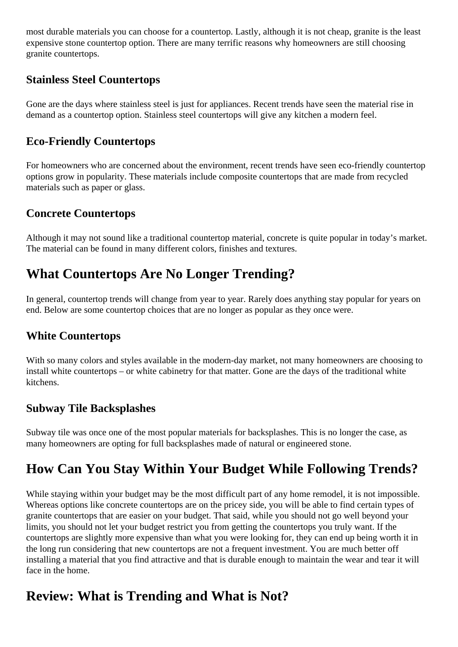<span id="page-2-0"></span>most durable materials you can choose for a countertop. Lastly, although it is not cheap, granite is the least expensive stone countertop option. There are many terrific reasons why homeowners are still choosing granite countertops.

#### **Stainless Steel Countertops**

Gone are the days where stainless steel is just for appliances. Recent trends have seen the material rise in demand as a countertop option. Stainless steel countertops will give any kitchen a modern feel.

### **Eco-Friendly Countertops**

For homeowners who are concerned about the environment, recent trends have seen eco-friendly countertop options grow in popularity. These materials include composite countertops that are made from recycled materials such as paper or glass.

#### **Concrete Countertops**

Although it may not sound like a traditional countertop material, concrete is quite popular in today's market. The material can be found in many different colors, finishes and textures.

## **What Countertops Are No Longer Trending?**

In general, countertop trends will change from year to year. Rarely does anything stay popular for years on end. Below are some countertop choices that are no longer as popular as they once were.

#### **White Countertops**

With so many colors and styles available in the modern-day market, not many homeowners are choosing to install white countertops – or white cabinetry for that matter. Gone are the days of the traditional white kitchens.

#### **Subway Tile Backsplashes**

Subway tile was once one of the most popular materials for backsplashes. This is no longer the case, as many homeowners are opting for full backsplashes made of natural or engineered stone.

# **How Can You Stay Within Your Budget While Following Trends?**

While staying within your budget may be the most difficult part of any home remodel, it is not impossible. Whereas options like concrete countertops are on the pricey side, you will be able to find certain types of granite countertops that are easier on your budget. That said, while you should not go well beyond your limits, you should not let your budget restrict you from getting the countertops you truly want. If the countertops are slightly more expensive than what you were looking for, they can end up being worth it in the long run considering that new countertops are not a frequent investment. You are much better off installing a material that you find attractive and that is durable enough to maintain the wear and tear it will face in the home.

## **Review: What is Trending and What is Not?**